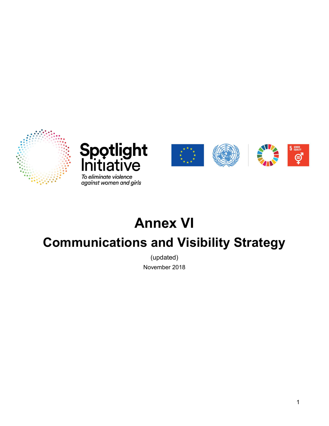





# Annex VI Communications and Visibility Strategy

(updated) November 2018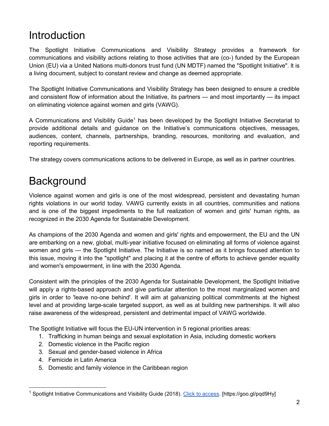#### Introduction

The Spotlight Initiative Communications and Visibility Strategy provides a framework for communications and visibility actions relating to those activities that are (co-) funded by the European Union (EU) via a United Nations multi-donors trust fund (UN MDTF) named the "Spotlight Initiative". lt is a living document, subject to constant review and change as deemed appropriate.

The Spotlight Initiative Communications and Visibility Strategy has been designed to ensure a credible and consistent flow of information about the Initiative, its partners — and most importantly — its impact on eliminating violence against women and girls (VAWG).

A Communications and Visibility Guide<sup>1</sup> has been developed by the Spotlight Initiative Secretariat to provide additional details and guidance on the Initiative's communications objectives, messages, audiences, content, channels, partnerships, branding, resources, monitoring and evaluation, and reporting requirements.

The strategy covers communications actions to be delivered in Europe, as well as in partner countries.

#### **Background**

Violence against women and girls is one of the most widespread, persistent and devastating human rights violations in our world today. VAWG currently exists in all countries, communities and nations and is one of the biggest impediments to the full realization of women and girls' human rights, as recognized in the 2030 Agenda for Sustainable Development.

As champions of the 2030 Agenda and women and girls' rights and empowerment, the EU and the UN are embarking on a new, global, multi-year initiative focused on eliminating all forms of violence against women and girls — the Spotlight Initiative. The Initiative is so named as it brings focused attention to this issue, moving it into the "spotlight" and placing it at the centre of efforts to achieve gender equality and women's empowerment, in line with the 2030 Agenda.

Consistent with the principles of the 2030 Agenda for Sustainable Development, the Spotlight Initiative will apply a rights-based approach and give particular attention to the most marginalized women and girls in order to 'leave no-one behind'. It will aim at galvanizing political commitments at the highest level and at providing large-scale targeted support, as well as at building new partnerships. It will also raise awareness of the widespread, persistent and detrimental impact of VAWG worldwide.

The Spotlight Initiative will focus the EU-UN intervention in 5 regional priorities areas:

- 1. Trafficking in human beings and sexual exploitation in Asia, including domestic workers
- 2. Domestic violence in the Pacific region
- 3. Sexual and gender-based violence in Africa
- 4. Femicide in Latin America

5. Domestic and family violence in the Caribbean region

<sup>&</sup>lt;sup>1</sup> Spotlight Initiative Communications and Visibility Guide (2018). Click to access. [https://goo.gl/pqd9Hy]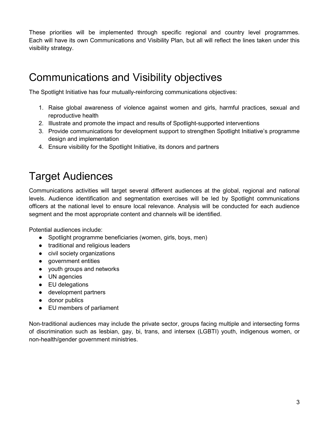These priorities will be implemented through specific regional and country level programmes. Each will have its own Communications and Visibility Plan, but all will reflect the lines taken under this visibility strategy.

#### Communications and Visibility objectives

The Spotlight Initiative has four mutually-reinforcing communications objectives:

- 1. Raise global awareness of violence against women and girls, harmful practices, sexual and reproductive health
- 2. Illustrate and promote the impact and results of Spotlight-supported interventions
- 3. Provide communications for development support to strengthen Spotlight Initiative's programme design and implementation
- 4. Ensure visibility for the Spotlight Initiative, its donors and partners

#### Target Audiences

Communications activities will target several different audiences at the global, regional and national levels. Audience identification and segmentation exercises will be led by Spotlight communications officers at the national level to ensure local relevance. Analysis will be conducted for each audience segment and the most appropriate content and channels will be identified.

Potential audiences include:

- Spotlight programme beneficiaries (women, girls, boys, men)
- traditional and religious leaders
- civil society organizations
- government entities
- youth groups and networks
- UN agencies
- EU delegations
- development partners
- donor publics
- EU members of parliament

Non-traditional audiences may include the private sector, groups facing multiple and intersecting forms of discrimination such as lesbian, gay, bi, trans, and intersex (LGBTI) youth, indigenous women, or non-health/gender government ministries.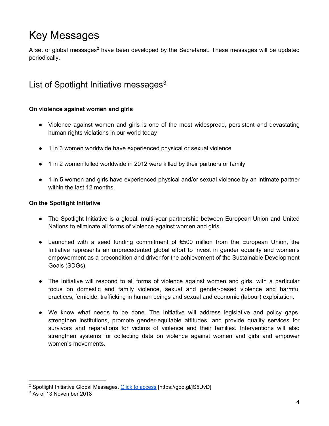# Key Messages

A set of global messages<sup>2</sup> have been developed by the Secretariat. These messages will be updated periodically.

#### List of Spotlight Initiative messages $3$

#### On violence against women and girls

- Violence against women and girls is one of the most widespread, persistent and devastating human rights violations in our world today
- 1 in 3 women worldwide have experienced physical or sexual violence
- 1 in 2 women killed worldwide in 2012 were killed by their partners or family
- 1 in 5 women and girls have experienced physical and/or sexual violence by an intimate partner within the last 12 months.

#### On the Spotlight Initiative

- The Spotlight Initiative is a global, multi-year partnership between European Union and United Nations to eliminate all forms of violence against women and girls.
- Launched with a seed funding commitment of €500 million from the European Union, the Initiative represents an unprecedented global effort to invest in gender equality and women's empowerment as a precondition and driver for the achievement of the Sustainable Development Goals (SDGs).
- The Initiative will respond to all forms of violence against women and girls, with a particular focus on domestic and family violence, sexual and gender-based violence and harmful practices, femicide, trafficking in human beings and sexual and economic (labour) exploitation.
- We know what needs to be done. The Initiative will address legislative and policy gaps, strengthen institutions, promote gender-equitable attitudes, and provide quality services for survivors and reparations for victims of violence and their families. Interventions will also strengthen systems for collecting data on violence against women and girls and empower women's movements.

 $\overline{a}$ 

<sup>&</sup>lt;sup>2</sup> Spotlight Initiative Global Messages. <u>Click to access</u> [https://goo.gl/jS5UvD]

 $3$  As of 13 November 2018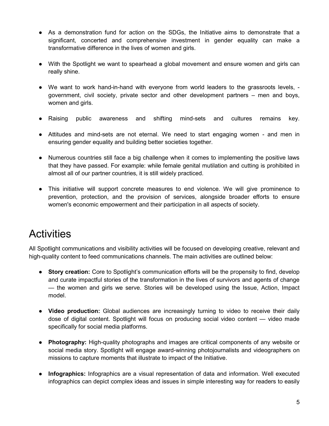- As a demonstration fund for action on the SDGs, the Initiative aims to demonstrate that a significant, concerted and comprehensive investment in gender equality can make a transformative difference in the lives of women and girls.
- With the Spotlight we want to spearhead a global movement and ensure women and girls can really shine.
- We want to work hand-in-hand with everyone from world leaders to the grassroots levels, government, civil society, private sector and other development partners – men and boys, women and girls.
- Raising public awareness and shifting mind-sets and cultures remains key.
- Attitudes and mind-sets are not eternal. We need to start engaging women and men in ensuring gender equality and building better societies together.
- Numerous countries still face a big challenge when it comes to implementing the positive laws that they have passed. For example: while female genital mutilation and cutting is prohibited in almost all of our partner countries, it is still widely practiced.
- This initiative will support concrete measures to end violence. We will give prominence to prevention, protection, and the provision of services, alongside broader efforts to ensure women's economic empowerment and their participation in all aspects of society.

#### **Activities**

All Spotlight communications and visibility activities will be focused on developing creative, relevant and high-quality content to feed communications channels. The main activities are outlined below:

- Story creation: Core to Spotlight's communication efforts will be the propensity to find, develop and curate impactful stories of the transformation in the lives of survivors and agents of change — the women and girls we serve. Stories will be developed using the Issue, Action, Impact model.
- Video production: Global audiences are increasingly turning to video to receive their daily dose of digital content. Spotlight will focus on producing social video content — video made specifically for social media platforms.
- Photography: High-quality photographs and images are critical components of any website or social media story. Spotlight will engage award-winning photojournalists and videographers on missions to capture moments that illustrate to impact of the Initiative.
- Infographics: Infographics are a visual representation of data and information. Well executed infographics can depict complex ideas and issues in simple interesting way for readers to easily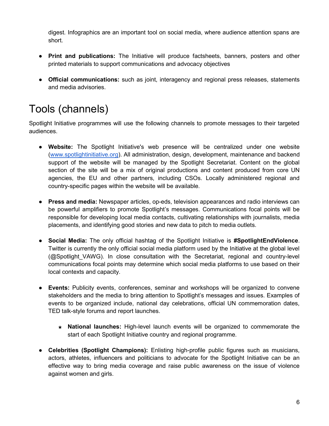digest. Infographics are an important tool on social media, where audience attention spans are short.

- Print and publications: The Initiative will produce factsheets, banners, posters and other printed materials to support communications and advocacy objectives
- Official communications: such as joint, interagency and regional press releases, statements and media advisories.

# Tools (channels)

Spotlight Initiative programmes will use the following channels to promote messages to their targeted audiences.

- Website: The Spotlight Initiative's web presence will be centralized under one website (www.spotlightinitiative.org). All administration, design, development, maintenance and backend support of the website will be managed by the Spotlight Secretariat. Content on the global section of the site will be a mix of original productions and content produced from core UN agencies, the EU and other partners, including CSOs. Locally administered regional and country-specific pages within the website will be available.
- Press and media: Newspaper articles, op-eds, television appearances and radio interviews can be powerful amplifiers to promote Spotlight's messages. Communications focal points will be responsible for developing local media contacts, cultivating relationships with journalists, media placements, and identifying good stories and new data to pitch to media outlets.
- Social Media: The only official hashtag of the Spotlight Initiative is #SpotlightEndViolence. Twitter is currently the only official social media platform used by the Initiative at the global level (@Spotlight VAWG). In close consultation with the Secretariat, regional and country-level communications focal points may determine which social media platforms to use based on their local contexts and capacity.
- Events: Publicity events, conferences, seminar and workshops will be organized to convene stakeholders and the media to bring attention to Spotlight's messages and issues. Examples of events to be organized include, national day celebrations, official UN commemoration dates, TED talk-style forums and report launches.
	- $\star$  National launches: High-level launch events will be organized to commemorate the start of each Spotlight Initiative country and regional programme.
- Celebrities (Spotlight Champions): Enlisting high-profile public figures such as musicians, actors, athletes, influencers and politicians to advocate for the Spotlight Initiative can be an effective way to bring media coverage and raise public awareness on the issue of violence against women and girls.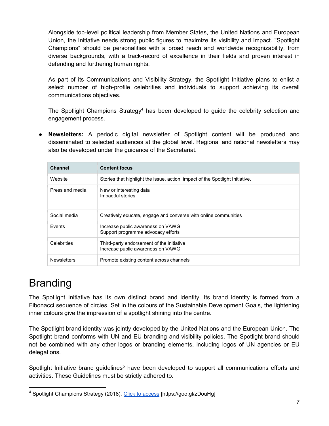Alongside top-level political leadership from Member States, the United Nations and European Union, the Initiative needs strong public figures to maximize its visibility and impact. "Spotlight Champions" should be personalities with a broad reach and worldwide recognizability, from diverse backgrounds, with a track-record of excellence in their fields and proven interest in defending and furthering human rights.

As part of its Communications and Visibility Strategy, the Spotlight Initiative plans to enlist a select number of high-profile celebrities and individuals to support achieving its overall communications objectives.

The Spotlight Champions Strategy<sup>4</sup> has been developed to guide the celebrity selection and engagement process.

● Newsletters: A periodic digital newsletter of Spotlight content will be produced and disseminated to selected audiences at the global level. Regional and national newsletters may also be developed under the guidance of the Secretariat.

| <b>Channel</b>     | <b>Content focus</b>                                                           |
|--------------------|--------------------------------------------------------------------------------|
| Website            | Stories that highlight the issue, action, impact of the Spotlight Initiative.  |
| Press and media    | New or interesting data<br>Impactful stories                                   |
| Social media       | Creatively educate, engage and converse with online communities                |
| <b>Fvents</b>      | Increase public awareness on VAWG<br>Support programme advocacy efforts        |
| Celebrities        | Third-party endorsement of the initiative<br>Increase public awareness on VAWG |
| <b>Newsletters</b> | Promote existing content across channels                                       |

### Branding

The Spotlight Initiative has its own distinct brand and identity. Its brand identity is formed from a Fibonacci sequence of circles. Set in the colours of the Sustainable Development Goals, the lightening inner colours give the impression of a spotlight shining into the centre.

The Spotlight brand identity was jointly developed by the United Nations and the European Union. The Spotlight brand conforms with UN and EU branding and visibility policies. The Spotlight brand should not be combined with any other logos or branding elements, including logos of UN agencies or EU delegations.

Spotlight Initiative brand guidelines<sup>5</sup> have been developed to support all communications efforts and activities. These Guidelines must be strictly adhered to.

<sup>&</sup>lt;sup>4</sup> Spotlight Champions Strategy (2018). Click to access [https://goo.gl/zDouHg]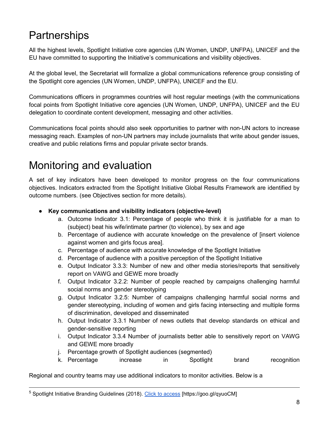### **Partnerships**

All the highest levels, Spotlight Initiative core agencies (UN Women, UNDP, UNFPA), UNICEF and the EU have committed to supporting the Initiative's communications and visibility objectives.

At the global level, the Secretariat will formalize a global communications reference group consisting of the Spotlight core agencies (UN Women, UNDP, UNFPA), UNICEF and the EU.

Communications officers in programmes countries will host regular meetings (with the communications focal points from Spotlight Initiative core agencies (UN Women, UNDP, UNFPA), UNICEF and the EU delegation to coordinate content development, messaging and other activities.

Communications focal points should also seek opportunities to partner with non-UN actors to increase messaging reach. Examples of non-UN partners may include journalists that write about gender issues, creative and public relations firms and popular private sector brands.

#### Monitoring and evaluation

A set of key indicators have been developed to monitor progress on the four communications objectives. Indicators extracted from the Spotlight Initiative Global Results Framework are identified by outcome numbers. (see Objectives section for more details).

- Key communications and visibility indicators (objective-level)
	- a. Outcome Indicator 3.1: Percentage of people who think it is justifiable for a man to (subject) beat his wife/intimate partner (to violence), by sex and age
	- b. Percentage of audience with accurate knowledge on the prevalence of [insert violence against women and girls focus area].
	- c. Percentage of audience with accurate knowledge of the Spotlight Initiative
	- d. Percentage of audience with a positive perception of the Spotlight Initiative
	- e. Output Indicator 3.3.3: Number of new and other media stories/reports that sensitively report on VAWG and GEWE more broadly
	- f. Output Indicator 3.2.2: Number of people reached by campaigns challenging harmful social norms and gender stereotyping
	- g. Output Indicator 3.2.5: Number of campaigns challenging harmful social norms and gender stereotyping, including of women and girls facing intersecting and multiple forms of discrimination, developed and disseminated
	- h. Output Indicator 3.3.1 Number of news outlets that develop standards on ethical and gender-sensitive reporting
	- i. Output Indicator 3.3.4 Number of journalists better able to sensitively report on VAWG and GEWE more broadly
	- j. Percentage growth of Spotlight audiences (segmented)
	- k. Percentage increase in Spotlight brand recognition

Regional and country teams may use additional indicators to monitor activities. Below is a

<sup>5</sup> Spotlight Initiative Branding Guidelines (2018). Click to access [https://goo.gl/qyuoCM]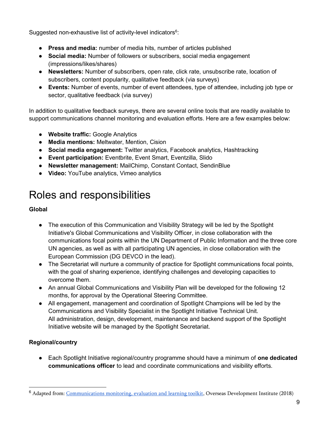Suggested non-exhaustive list of activity-level indicators<sup>6</sup>:

- Press and media: number of media hits, number of articles published
- Social media: Number of followers or subscribers, social media engagement (impressions/likes/shares)
- Newsletters: Number of subscribers, open rate, click rate, unsubscribe rate, location of subscribers, content popularity, qualitative feedback (via surveys)
- Events: Number of events, number of event attendees, type of attendee, including job type or sector, qualitative feedback (via survey)

In addition to qualitative feedback surveys, there are several online tools that are readily available to support communications channel monitoring and evaluation efforts. Here are a few examples below:

- Website traffic: Google Analytics
- Media mentions: Meltwater, Mention, Cision
- Social media engagement: Twitter analytics, Facebook analytics, Hashtracking
- Event participation: Eventbrite, Event Smart, Eventzilla, Slido
- Newsletter management: MailChimp, Constant Contact, SendinBlue
- Video: YouTube analytics, Vimeo analytics

### Roles and responsibilities

#### Global

- The execution of this Communication and Visibility Strategy will be led by the Spotlight Initiative's Global Communications and Visibility Officer, in close collaboration with the communications focal points within the UN Department of Public Information and the three core UN agencies, as well as with all participating UN agencies, in close collaboration with the European Commission (DG DEVCO in the lead).
- The Secretariat will nurture a community of practice for Spotlight communications focal points, with the goal of sharing experience, identifying challenges and developing capacities to overcome them.
- An annual Global Communications and Visibility Plan will be developed for the following 12 months, for approval by the Operational Steering Committee.
- All engagement, management and coordination of Spotlight Champions will be led by the Communications and Visibility Specialist in the Spotlight Initiative Technical Unit. All administration, design, development, maintenance and backend support of the Spotlight Initiative website will be managed by the Spotlight Secretariat.

#### Regional/country

● Each Spotlight Initiative regional/country programme should have a minimum of one dedicated communications officer to lead and coordinate communications and visibility efforts.

<sup>&</sup>lt;sup>6</sup> Adapted from: Communications monitoring, evaluation and learning toolkit, Overseas Development Institute (2018)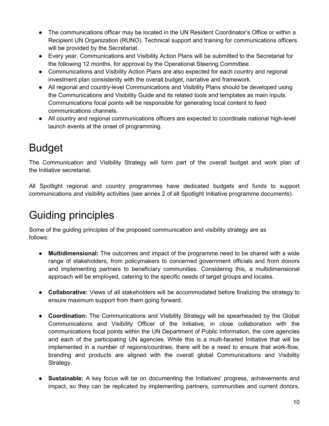- The communications officer may be located in the UN Resident Coordinator's Office or within a Recipient UN Organization (RUNO). Technical support and training for communications officers will be provided by the Secretariat.
- Every year, Communications and Visibility Action Plans will be submitted to the Secretariat for the following 12 months, for approval by the Operational Steering Committee.
- Communications and Visibility Action Plans are also expected for each country and regional investment plan consistently with the overall budget, narrative and framework.
- All regional and country-level Communications and Visibility Plans should be developed using the Communications and Visibility Guide and its related tools and templates as main inputs. Communications focal points will be responsible for generating local content to feed communications channels.
- All country and regional communications officers are expected to coordinate national high-level launch events at the onset of programming.

### Budget

The Communication and Visibility Strategy will form part of the overall budget and work plan of the Initiative secretariat.

All Spotlight regional and country programmes have dedicated budgets and funds to support communications and visibility activities (see annex 2 of all Spotlight Initiative programme documents).

### Guiding principles

Some of the guiding principles of the proposed communication and visibility strategy are as follows:

- Multidimensional: The outcomes and impact of the programme need to be shared with a wide range of stakeholders, from policymakers to concerned government officials and from donors and implementing partners to beneficiary communities. Considering this, a multidimensional approach will be employed, catering to the specific needs of target groups and locales.
- Collaborative: Views of all stakeholders will be accommodated before finalizing the strategy to ensure maximum support from them going forward.
- Coordination: The Communications and Visibility Strategy will be spearheaded by the Global Communications and Visibility Officer of the Initiative, in close collaboration with the communications focal points within the UN Department of Public Information, the core agencies and each of the participating UN agencies. While this is a multi-faceted Initiative that will be implemented in a number of regions/countries, there will be a need to ensure that work-flow, branding and products are aligned with the overall global Communications and Visibility Strategy.
- Sustainable: A key focus will be on documenting the Initiatives' progress, achievements and impact, so they can be replicated by implementing partners, communities and current donors,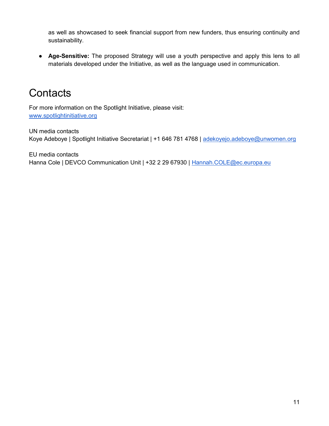as well as showcased to seek financial support from new funders, thus ensuring continuity and sustainability.

• Age-Sensitive: The proposed Strategy will use a youth perspective and apply this lens to all materials developed under the Initiative, as well as the language used in communication.

#### **Contacts**

For more information on the Spotlight Initiative, please visit: www.spotlightinitiative.org

UN media contacts Koye Adeboye | Spotlight Initiative Secretariat | +1 646 781 4768 | adekoyejo.adeboye@unwomen.org

EU media contacts Hanna Cole | DEVCO Communication Unit | +32 2 29 67930 | Hannah.COLE@ec.europa.eu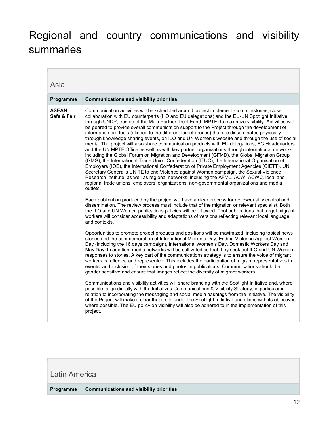### Regional and country communications and visibility summaries

| Asia                        |                                                                                                                                                                                                                                                                                                                                                                                                                                                                                                                                                                                                                                                                                                                                                                                                                                                                                                                                                                                                                                                                                                                                                                                                                                                                                                                                                                                                                                                                                                                                                                                                                                                                                                                                                                                                                                                 |
|-----------------------------|-------------------------------------------------------------------------------------------------------------------------------------------------------------------------------------------------------------------------------------------------------------------------------------------------------------------------------------------------------------------------------------------------------------------------------------------------------------------------------------------------------------------------------------------------------------------------------------------------------------------------------------------------------------------------------------------------------------------------------------------------------------------------------------------------------------------------------------------------------------------------------------------------------------------------------------------------------------------------------------------------------------------------------------------------------------------------------------------------------------------------------------------------------------------------------------------------------------------------------------------------------------------------------------------------------------------------------------------------------------------------------------------------------------------------------------------------------------------------------------------------------------------------------------------------------------------------------------------------------------------------------------------------------------------------------------------------------------------------------------------------------------------------------------------------------------------------------------------------|
| Programme                   | <b>Communications and visibility priorities</b>                                                                                                                                                                                                                                                                                                                                                                                                                                                                                                                                                                                                                                                                                                                                                                                                                                                                                                                                                                                                                                                                                                                                                                                                                                                                                                                                                                                                                                                                                                                                                                                                                                                                                                                                                                                                 |
| <b>ASEAN</b><br>Safe & Fair | Communication activities will be scheduled around project implementation milestones, close<br>collaboration with EU counterparts (HQ and EU delegations) and the EU-UN Spotlight Initiative<br>through UNDP, trustee of the Multi Partner Trust Fund (MPTF) to maximize visibility. Activities will<br>be geared to provide overall communication support to the Project through the development of<br>information products (aligned to the different target groups) that are disseminated physically<br>through knowledge sharing events, on ILO and UN Women's website and through the use of social<br>media. The project will also share communication products with EU delegations, EC Headquarters<br>and the UN MPTF Office as well as with key partner organizations through international networks<br>including the Global Forum on Migration and Development (GFMD), the Global Migration Group<br>(GMG), the International Trade Union Confederation (ITUC), the International Organisation of<br>Employers (IOE), the International Confederation of Private Employment Agencies (CIETT), UN<br>Secretary General's UNITE to end Violence against Women campaign, the Sexual Violence<br>Research Institute, as well as regional networks, including the AFML, ACW, ACWC, local and<br>regional trade unions, employers' organizations, non-governmental organizations and media<br>outlets.<br>Each publication produced by the project will have a clear process for review/quality control and<br>dissemination. The review process must include that of the migration or relevant specialist. Both<br>the ILO and UN Women publications policies will be followed. Tool publications that target migrant<br>workers will consider accessibility and adaptations of versions reflecting relevant local language<br>and contexts. |
|                             | Opportunities to promote project products and positions will be maximized, including topical news<br>stories and the commemoration of International Migrants Day, Ending Violence Against Women<br>Day (including the 16 days campaign), International Women's Day, Domestic Workers Day and<br>May Day. In addition, media networks will be cultivated so that they seek out ILO and UN Women<br>responses to stories. A key part of the communications strategy is to ensure the voice of migrant<br>workers is reflected and represented. This includes the participation of migrant representatives in<br>events, and inclusion of their stories and photos in publications. Communications should be<br>gender sensitive and ensure that images reflect the diversity of migrant workers.<br>Communications and visibility activities will share branding with the Spotlight Initiative and, where<br>possible, align directly with the Initiatives Communications & Visibility Strategy, in particular in<br>relation to incorporating the messaging and social media hashtags from the Initiative. The visibility<br>of the Project will make it clear that it sits under the Spotlight Initiative and aligns with its objectives<br>where possible. The EU policy on visibility will also be adhered to in the implementation of this<br>project.                                                                                                                                                                                                                                                                                                                                                                                                                                                                                       |

#### Latin America

Programme | Communications and visibility priorities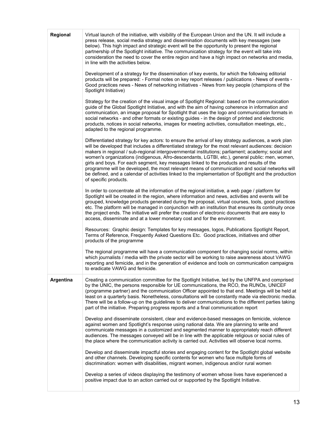| Regional  | Virtual launch of the initiative, with visibility of the European Union and the UN. It will include a<br>press release, social media strategy and dissemination documents with key messages (see<br>below). This high impact and strategic event will be the opportunity to present the regional<br>partnership of the Spotlight initiative. The communication strategy for the event will take into<br>consideration the need to cover the entire region and have a high impact on networks and media,<br>in line with the activities below.                                                                                                                                                                                                      |
|-----------|----------------------------------------------------------------------------------------------------------------------------------------------------------------------------------------------------------------------------------------------------------------------------------------------------------------------------------------------------------------------------------------------------------------------------------------------------------------------------------------------------------------------------------------------------------------------------------------------------------------------------------------------------------------------------------------------------------------------------------------------------|
|           | Development of a strategy for the dissemination of key events, for which the following editorial<br>products will be prepared: - Formal notes on key report releases / publications - News of events -<br>Good practices news - News of networking initiatives - News from key people (champions of the<br>Spotlight Initiative)                                                                                                                                                                                                                                                                                                                                                                                                                   |
|           | Strategy for the creation of the visual image of Spotlight Regional: based on the communication<br>guide of the Global Spotlight Initiative, and with the aim of having coherence in information and<br>communication, an image proposal for Spotlight that uses the logo and communication formats in<br>social networks - and other formats or existing guides - in the design of printed and electronic<br>products, notices in social networks, images for meeting activities, consultation meetings, etc.,<br>adapted to the regional programme.                                                                                                                                                                                              |
|           | Differentiated strategy for key actors: to ensure the arrival of key strategy audiences, a work plan<br>will be developed that includes a differentiated strategy for the most relevant audiences: decision<br>makers in regional / sub-regional intergovernmental institutions; parliament; academy; social and<br>women's organizations (indigenous, Afro-descendants, LGTBI, etc.), general public: men, women,<br>girls and boys. For each segment, key messages linked to the products and results of the<br>programme will be developed, the most relevant means of communication and social networks will<br>be defined, and a calendar of activities linked to the implementation of Spotlight and the production<br>of specific products. |
|           | In order to concentrate all the information of the regional initiative, a web page / platform for<br>Spotlight will be created in the region, where information and news, activities and events will be<br>grouped, knowledge products generated during the proposal, virtual courses, tools, good practices<br>etc. The platform will be managed in conjunction with an institution that ensures its continuity once<br>the project ends. The initiative will prefer the creation of electronic documents that are easy to<br>access, disseminate and at a lower monetary cost and for the environment.                                                                                                                                           |
|           | Resources: Graphic design: Templates for key messages, logos, Publications Spotlight Report,<br>Terms of Reference, Frequently Asked Questions Etc. Good practices, initiatives and other<br>products of the programme                                                                                                                                                                                                                                                                                                                                                                                                                                                                                                                             |
|           | The regional programme will have a communication component for changing social norms, within<br>which journalists / media with the private sector will be working to raise awareness about VAWG<br>reporting and femicide, and in the generation of evidence and tools on communication campaigns<br>to eradicate VAWG and femicide.                                                                                                                                                                                                                                                                                                                                                                                                               |
| Argentina | Creating a communication committee for the Spotlight Initiative, led by the UNFPA and comprised<br>by the UNIC, the persons responsible for UE communications, the RCO, the RUNOs, UNICEF<br>(programme partner) and the communication Officer appointed to that end. Meetings will be held at<br>least on a quarterly basis. Nonetheless, consultations will be constantly made via electronic media.<br>There will be a follow-up on the guidelines to deliver communications to the different parties taking<br>part of the initiative. Preparing progress reports and a final communication report                                                                                                                                             |
|           | Develop and disseminate consistent, clear and evidence-based messages on femicide, violence<br>against women and Spotlight's response using national data. We are planning to write and<br>communicate messages in a customized and segmented manner to appropriately reach different<br>audiences. The messages conveyed will be in line with the applicable religious or social rules of<br>the place where the communication activity is carried out. Activities will observe local norms.                                                                                                                                                                                                                                                      |
|           | Develop and disseminate impactful stories and engaging content for the Spotlight global website<br>and other channels. Developing specific contents for women who face multiple forms of<br>discrimination: women with disabilities, migrant women, indigenous and/or rural women                                                                                                                                                                                                                                                                                                                                                                                                                                                                  |
|           | Develop a series of videos displaying the testimony of women whose lives have experienced a<br>positive impact due to an action carried out or supported by the Spotlight Initiative.                                                                                                                                                                                                                                                                                                                                                                                                                                                                                                                                                              |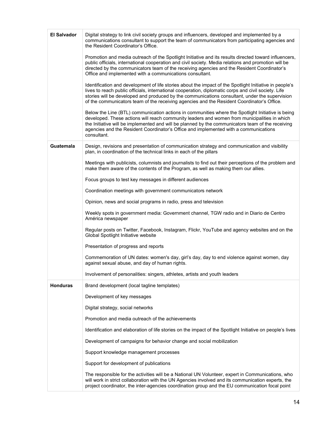| <b>El Salvador</b> | Digital strategy to link civil society groups and influencers, developed and implemented by a<br>communications consultant to support the team of communicators from participating agencies and<br>the Resident Coordinator's Office.                                                                                                                                                                           |
|--------------------|-----------------------------------------------------------------------------------------------------------------------------------------------------------------------------------------------------------------------------------------------------------------------------------------------------------------------------------------------------------------------------------------------------------------|
|                    | Promotion and media outreach of the Spotlight Initiative and its results directed toward influencers,<br>public officials, international cooperation and civil society. Media relations and promotion will be<br>directed by the communicators team of the receiving agencies and the Resident Coordinator's<br>Office and implemented with a communications consultant.                                        |
|                    | Identification and development of life stories about the impact of the Spotlight Initiative in people's<br>lives to reach public officials, international cooperation, diplomatic corps and civil society. Life<br>stories will be developed and produced by the communications consultant, under the supervision<br>of the communicators team of the receiving agencies and the Resident Coordinator's Office. |
|                    | Below the Line (BTL) communication actions in communities where the Spotlight Initiative is being<br>developed. These actions will reach community leaders and women from municipalities in which<br>the Initiative will be implemented and will be planned by the communicators team of the receiving<br>agencies and the Resident Coordinator's Office and implemented with a communications<br>consultant.   |
| Guatemala          | Design, revisions and presentation of communication strategy and communication and visibility<br>plan, in coordination of the technical links in each of the pillars                                                                                                                                                                                                                                            |
|                    | Meetings with publicists, columnists and journalists to find out their perceptions of the problem and<br>make them aware of the contents of the Program, as well as making them our allies.                                                                                                                                                                                                                     |
|                    | Focus groups to test key messages in different audiences                                                                                                                                                                                                                                                                                                                                                        |
|                    | Coordination meetings with government communicators network                                                                                                                                                                                                                                                                                                                                                     |
|                    | Opinion, news and social programs in radio, press and television                                                                                                                                                                                                                                                                                                                                                |
|                    | Weekly spots in government media: Government channel, TGW radio and in Diario de Centro<br>América newspaper                                                                                                                                                                                                                                                                                                    |
|                    | Regular posts on Twitter, Facebook, Instagram, Flickr, YouTube and agency websites and on the<br>Global Spotlight Initiative website                                                                                                                                                                                                                                                                            |
|                    | Presentation of progress and reports                                                                                                                                                                                                                                                                                                                                                                            |
|                    | Commemoration of UN dates: women's day, girl's day, day to end violence against women, day<br>against sexual abuse, and day of human rights.                                                                                                                                                                                                                                                                    |
|                    | Involvement of personalities: singers, athletes, artists and youth leaders                                                                                                                                                                                                                                                                                                                                      |
| <b>Honduras</b>    | Brand development (local tagline templates)                                                                                                                                                                                                                                                                                                                                                                     |
|                    | Development of key messages                                                                                                                                                                                                                                                                                                                                                                                     |
|                    | Digital strategy, social networks                                                                                                                                                                                                                                                                                                                                                                               |
|                    | Promotion and media outreach of the achievements                                                                                                                                                                                                                                                                                                                                                                |
|                    | Identification and elaboration of life stories on the impact of the Spotlight Initiative on people's lives                                                                                                                                                                                                                                                                                                      |
|                    | Development of campaigns for behavior change and social mobilization                                                                                                                                                                                                                                                                                                                                            |
|                    | Support knowledge management processes                                                                                                                                                                                                                                                                                                                                                                          |
|                    | Support for development of publications                                                                                                                                                                                                                                                                                                                                                                         |
|                    | The responsible for the activities will be a National UN Volunteer, expert in Communications, who<br>will work in strict collaboration with the UN Agencies involved and its communication experts, the<br>project coordinator, the inter-agencies coordination group and the EU communication focal point                                                                                                      |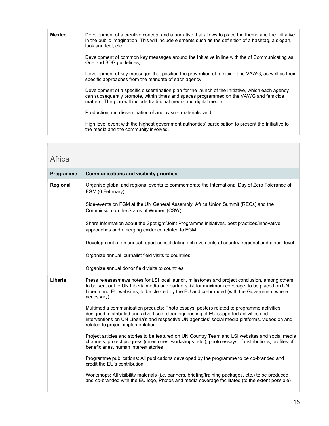| <b>Mexico</b> | Development of a creative concept and a narrative that allows to place the theme and the Initiative<br>in the public imagination. This will include elements such as the definition of a hashtag, a slogan,<br>look and feel, etc.:                              |
|---------------|------------------------------------------------------------------------------------------------------------------------------------------------------------------------------------------------------------------------------------------------------------------|
|               | Development of common key messages around the Initiative in line with the of Communicating as<br>One and SDG quidelines;                                                                                                                                         |
|               | Development of key messages that position the prevention of femicide and VAWG, as well as their<br>specific approaches from the mandate of each agency;                                                                                                          |
|               | Development of a specific dissemination plan for the launch of the Initiative, which each agency<br>can subsequently promote, within times and spaces programmed on the VAWG and femicide<br>matters. The plan will include traditional media and digital media; |
|               | Production and dissemination of audiovisual materials; and,                                                                                                                                                                                                      |
|               | High level event with the highest government authorities' participation to present the Initiative to<br>the media and the community involved.                                                                                                                    |

#### Africa

| Programme | <b>Communications and visibility priorities</b>                                                                                                                                                                                                                                                                            |
|-----------|----------------------------------------------------------------------------------------------------------------------------------------------------------------------------------------------------------------------------------------------------------------------------------------------------------------------------|
| Regional  | Organise global and regional events to commemorate the International Day of Zero Tolerance of<br>FGM (6 February)                                                                                                                                                                                                          |
|           | Side-events on FGM at the UN General Assembly, Africa Union Summit (RECs) and the<br>Commission on the Status of Women (CSW)                                                                                                                                                                                               |
|           | Share information about the Spotlight/Joint Programme initiatives, best practices/innovative<br>approaches and emerging evidence related to FGM                                                                                                                                                                            |
|           | Development of an annual report consolidating achievements at country, regional and global level.                                                                                                                                                                                                                          |
|           | Organize annual journalist field visits to countries.                                                                                                                                                                                                                                                                      |
|           | Organize annual donor field visits to countries.                                                                                                                                                                                                                                                                           |
| Liberia   | Press releases/news notes for LSI local launch, milestones and project conclusion, among others,<br>to be sent out to UN Liberia media and partners list for maximum coverage, to be placed on UN<br>Liberia and EU websites, to be cleared by the EU and co-branded (with the Government where<br>necessary)              |
|           | Multimedia communication products: Photo essays, posters related to programme activities<br>designed, distributed and advertised, clear signposting of EU-supported activities and<br>interventions on UN Liberia's and respective UN agencies' social media platforms, videos on and<br>related to project implementation |
|           | Project articles and stories to be featured on UN Country Team and LSI websites and social media<br>channels, project progress (milestones, workshops, etc.), photo essays of distributions, profiles of<br>beneficiaries, human interest stories                                                                          |
|           | Programme publications: All publications developed by the programme to be co-branded and<br>credit the EU's contribution                                                                                                                                                                                                   |
|           | Workshops: All visibility materials (i.e. banners, briefing/training packages, etc.) to be produced<br>and co-branded with the EU logo, Photos and media coverage facilitated (to the extent possible)                                                                                                                     |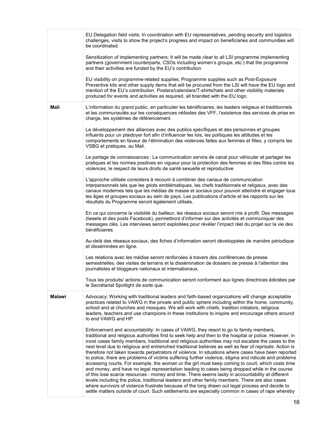|               | EU Delegation field visits: In coordination with EU representatives, pending security and logistics<br>challenges, visits to show the project's progress and impact on beneficiaries and communities will<br>be coordinated.                                                                                                                                                                                                                                                                                                                                                                                                                                                                                                                                                                                                                                                                                                                                                                                                                                                                                                                                                                                                                            |
|---------------|---------------------------------------------------------------------------------------------------------------------------------------------------------------------------------------------------------------------------------------------------------------------------------------------------------------------------------------------------------------------------------------------------------------------------------------------------------------------------------------------------------------------------------------------------------------------------------------------------------------------------------------------------------------------------------------------------------------------------------------------------------------------------------------------------------------------------------------------------------------------------------------------------------------------------------------------------------------------------------------------------------------------------------------------------------------------------------------------------------------------------------------------------------------------------------------------------------------------------------------------------------|
|               | Sensitization of implementing partners: It will be made clear to all LSI programme implementing<br>partners (government counterparts, CSOs including women's groups, etc.) that the programme<br>and their activities are funded by the EU's contribution                                                                                                                                                                                                                                                                                                                                                                                                                                                                                                                                                                                                                                                                                                                                                                                                                                                                                                                                                                                               |
|               | EU visibility on programme-related supplies: Programme supplies such as Post-Exposure<br>Preventive kits and other supply items that will be procured from the LSI will have the EU logo and<br>mention of the EU's contribution. Posters/calendars/T-shirts/hats and other visibility materials<br>produced for events and activities as required, all branded with the EU logo.                                                                                                                                                                                                                                                                                                                                                                                                                                                                                                                                                                                                                                                                                                                                                                                                                                                                       |
| <b>Mali</b>   | L'information du grand public, en particulier les bénéficiaires, les leaders religieux et traditionnels<br>et les communautés sur les conséquences néfastes des VFF, l'existence des services de prise en<br>charge, les systèmes de référencement.                                                                                                                                                                                                                                                                                                                                                                                                                                                                                                                                                                                                                                                                                                                                                                                                                                                                                                                                                                                                     |
|               | Le développement des alliances avec des publics spécifiques et des personnes et groupes<br>influents pour un plaidoyer fort afin d'influencer les lois, les politiques les attitudes et les<br>comportements en faveur de l'élimination des violences faites aux femmes et filles, y compris les<br>VSBG et pratiques, au Mali.                                                                                                                                                                                                                                                                                                                                                                                                                                                                                                                                                                                                                                                                                                                                                                                                                                                                                                                         |
|               | Le partage de connaissances : La communication servira de canal pour véhiculer et partager les<br>pratiques et les normes positives en vigueur pour la protection des femmes et des filles contre les<br>violences, le respect de leurs droits de santé sexuelle et reproductive.                                                                                                                                                                                                                                                                                                                                                                                                                                                                                                                                                                                                                                                                                                                                                                                                                                                                                                                                                                       |
|               | L'approche utilisée consistera à recourir à combiner des canaux de communication<br>interpersonnels tels que les griots emblématiques, les chefs traditionnels et religieux, avec des<br>canaux modernes tels que les médias de masse et sociaux pour pouvoir atteindre et engager tous<br>les âges et groupes sociaux au sein de pays. Les publications d'article et les rapports sur les<br>résultats du Programme seront également utilisés.                                                                                                                                                                                                                                                                                                                                                                                                                                                                                                                                                                                                                                                                                                                                                                                                         |
|               | En ce qui concerne la visibilité du bailleur, les réseaux sociaux seront mis à profit. Des messages<br>(tweets et des posts Facebook), permettront d'informer sur des activités et communiquer des<br>messages clés. Les interviews seront exploitées pour révéler l'impact réel du projet sur la vie des<br>bénéficiaires.                                                                                                                                                                                                                                                                                                                                                                                                                                                                                                                                                                                                                                                                                                                                                                                                                                                                                                                             |
|               | Au-delà des réseaux sociaux, des fiches d'information seront développées de manière périodique<br>et disséminées en ligne.                                                                                                                                                                                                                                                                                                                                                                                                                                                                                                                                                                                                                                                                                                                                                                                                                                                                                                                                                                                                                                                                                                                              |
|               | Les relations avec les médias seront renforcées à travers des conférences de presse<br>semestrielles, des visites de terrains et la dissémination de dossiers de presse à l'attention des<br>journalistes et bloggeurs nationaux et internationaux.                                                                                                                                                                                                                                                                                                                                                                                                                                                                                                                                                                                                                                                                                                                                                                                                                                                                                                                                                                                                     |
|               | Tous les produits/ actions de communication seront conforment aux lignes directrices édictées par<br>le Secrétariat Spotlight de sorte que.                                                                                                                                                                                                                                                                                                                                                                                                                                                                                                                                                                                                                                                                                                                                                                                                                                                                                                                                                                                                                                                                                                             |
| <b>Malawi</b> | Advocacy: Working with traditional leaders and faith-based organizations will change acceptable<br>practices related to VAWG in the private and public sphere including within the home, community,<br>school and at churches and mosques. We will work with chiefs, tradition initiators, religious<br>leaders, teachers and use champions in these institutions to inspire and encourage others around<br>to end VAWG and HP.                                                                                                                                                                                                                                                                                                                                                                                                                                                                                                                                                                                                                                                                                                                                                                                                                         |
|               | Enforcement and accountability: In cases of VAWG, they resort to go to family members,<br>traditional and religious authorities first to seek help and then to the hospital or police. However, in<br>most cases family members, traditional and religious authorities may not escalate the cases to the<br>next level due to religious and entrenched traditional believes as well as fear of reprisals. Action is<br>therefore not taken towards perpetrators of violence. In situations where cases have been reported<br>to police, there are problems of victims suffering further violence, stigma and ridicule and problems<br>accessing courts. For example, the woman or the girl must keep coming to court, which costs time<br>and money, and have no legal representation leading to cases being dropped while in the course<br>of this lose scarce resources - money and time. There seems laxity in accountability at different<br>levels including the police, traditional leaders and other family members. There are also cases<br>where survivors of violence frustrate because of the long drawn out legal process and decide to<br>settle matters outside of court. Such settlements are especially common in cases of rape whereby |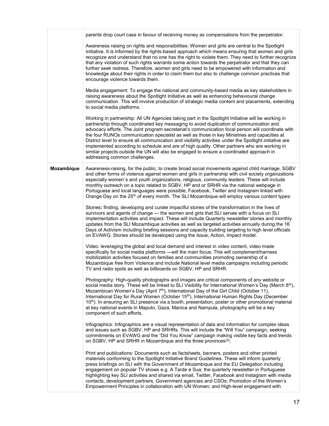|            | parents drop court case in favour of receiving money as compensations from the perpetrator.                                                                                                                                                                                                                                                                                                                                                                                                                                                                                                                                                                                                                                                |
|------------|--------------------------------------------------------------------------------------------------------------------------------------------------------------------------------------------------------------------------------------------------------------------------------------------------------------------------------------------------------------------------------------------------------------------------------------------------------------------------------------------------------------------------------------------------------------------------------------------------------------------------------------------------------------------------------------------------------------------------------------------|
|            | Awareness raising on rights and responsibilities: Women and girls are central to the Spotlight<br>Initiative. It is informed by the rights-based approach which means ensuring that women and girls<br>recognize and understand that no one has the right to violate them. They need to further recognize<br>that any violation of such rights warrants some action towards the perpetrator and that they can<br>further seek redress. Therefore, women and girls need to be empowered with information and<br>knowledge about their rights in order to claim them but also to challenge common practices that<br>encourage violence towards them.                                                                                         |
|            | Media engagement: To engage the national and community-based media as key stakeholders in<br>raising awareness about the Spotlight Initiative as well as enhancing behavioural change<br>communication. This will involve production of strategic media content and placements, extending<br>to social media platforms.                                                                                                                                                                                                                                                                                                                                                                                                                    |
|            | Working in partnership: All UN Agencies taking part in the Spotlight Initiative will be working in<br>partnership through coordinated key messaging to avoid duplication of communication and<br>advocacy efforts. The Joint program secretariat's communication focal person will coordinate with<br>the four RUNOs communication specialist as well as those in key Ministries and capacities at<br>District level to ensure all communication and visibility activities under the Spotlight initiative are<br>implemented according to schedule and are of high quality. Other partners who are working in<br>similar projects outside the UN will also be engaged to ensure a coordinated approach in<br>addressing common challenges. |
| Mozambique | Awareness-raising, for the public, to create broad social movements against child marriage, SGBV<br>and other forms of violence against women and girls in partnership with civil society organizations<br>especially women's and youth organizations, religious, community leaders. These will include<br>monthly outreach on a topic related to SGBV, HP and or SRHR via the national webpage in<br>Portuguese and local languages were possible, Facebook, Twitter and Instagram linked with<br>Orange Day on the 25 <sup>th</sup> of every month. The SLI Mozambique will employ various content types:                                                                                                                                |
|            | Stories: finding, developing and curate impactful stories of the transformation in the lives of<br>survivors and agents of change - the women and girls that SLI serves with a focus on SLI<br>implementation activities and impact. These will include Quarterly newsletter stories and monthly<br>updates from the SLI Mozambique activities as well as targeted activities annually during the 16<br>Days of Activism including briefing sessions and capacity building targeting to high level officials<br>on EVAWG. Stories should be developed using the Issue, Action, Impact model.                                                                                                                                               |
|            | Video: leveraging the global and local demand and interest in video content, video made<br>specifically for social media platforms - will the main focus. This will complement/harness<br>mobilization activities focused on families and communities promoting ownership of a<br>Mozambique free from Violence and include National level media campaigns including periodic<br>TV and radio spots as well as billboards on SGBV, HP and SRHR.                                                                                                                                                                                                                                                                                            |
|            | Photography: High-quality photographs and images are critical components of any website or<br>social media story. These will be linked to SLI Visibility for International Women's Day (March $8^{\text{th}}$ ),<br>Mozambican Women's Day (April 7 <sup>th</sup> ), International Day of the Girl Child (October 11),<br>International Day for Rural Women (October 15 <sup>th</sup> ), International Human Rights Day (December<br>10th). In ensuring an SLI presence via a booth, presentation, poster or other promotional material<br>at key national events in Maputo, Gaza, Manica and Nampula, photography will be a key<br>component of such efforts.                                                                             |
|            | Infographics: Infographics are a visual representation of data and information for complex ideas<br>and issues such as SGBV, HP and SRHRs. This will include the "Will You" campaign, seeking<br>commitments on EVAWG and the "Did You Know" campaign making visible key facts and trends<br>on SGBV, HP and SRHR in Mozambique and the three provinces <sup>[2]</sup> ;                                                                                                                                                                                                                                                                                                                                                                   |
|            | Print and publications: Documents such as factsheets, banners, posters and other printed<br>materials conforming to the Spotlight Initiative Brand Guidelines. These will inform quarterly<br>press briefings on SLI with the Government of Mozambique and the EU Delegation including<br>engagement on popular TV shows e.g. A Tarde e Sua; the quarterly newsletter in Portuguese<br>highlighting key SLI activities and shared via email, Twitter, Facebook and Instagram with media<br>contacts, development partners, Government agencies and CSOs; Promotion of the Women's<br>Empowerment Principles in collaboration with UN Women; and High-level engagement with                                                                 |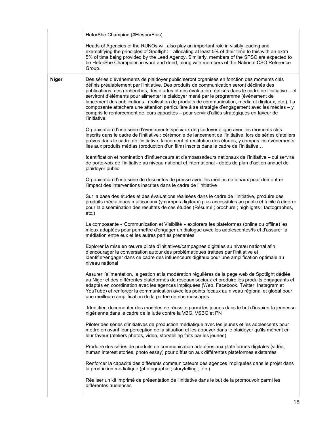|              | HeforShe Champion (#ElesporElas).                                                                                                                                                                                                                                                                                                                                                                                                                                                                                                                                                                                                                                                                                  |
|--------------|--------------------------------------------------------------------------------------------------------------------------------------------------------------------------------------------------------------------------------------------------------------------------------------------------------------------------------------------------------------------------------------------------------------------------------------------------------------------------------------------------------------------------------------------------------------------------------------------------------------------------------------------------------------------------------------------------------------------|
|              | Heads of Agencies of the RUNOs will also play an important role in visibly leading and<br>exemplifying the principles of Spotlight - allocating at least 5% of their time to this with an extra<br>5% of time being provided by the Lead Agency. Similarly, members of the SPSC are expected to<br>be HeforShe Champions in word and deed, along with members of the National CSO Reference<br>Group.                                                                                                                                                                                                                                                                                                              |
| <b>Niger</b> | Des séries d'événements de plaidoyer public seront organisés en fonction des moments clés<br>définis préalablement par l'initiative. Des produits de communication seront déclinés des<br>publications, des recherches, des études et des évaluation réalisés dans le cadre de l'initiative - et<br>serviront d'éléments pour alimenter le plaidoyer mené par le programme (événement de<br>lancement des publications ; réalisation de produits de communication, média et digitaux, etc.). La<br>composante attachera une attention particulière à sa stratégie d'engagement avec les médias - y<br>compris le renforcement de leurs capacités - pour servir d'alliés stratégiques en faveur de<br>l'initiative. |
|              | Organisation d'une série d'événements spéciaux de plaidoyer aligné avec les moments clés<br>inscrits dans le cadre de l'initiative : cérémonie de lancement de l'initiative, lors de séries d'ateliers<br>prévus dans le cadre de l'initiative, lancement et restitution des études, y compris les événements<br>lies aux produits médias (production d'un film) inscrits dans le cadre de l'initiative                                                                                                                                                                                                                                                                                                            |
|              | Identification et nomination d'influenceurs et d'ambassadeurs nationaux de l'initiative – qui servira<br>de porte-voix de l'initiative au niveau national et international - dotés de plan d'action annuel de<br>plaidoyer public                                                                                                                                                                                                                                                                                                                                                                                                                                                                                  |
|              | Organisation d'une série de descentes de presse avec les médias nationaux pour démontrer<br>l'impact des interventions inscrites dans le cadre de l'initiative                                                                                                                                                                                                                                                                                                                                                                                                                                                                                                                                                     |
|              | Sur la base des études et des évaluations réalisées dans le cadre de l'initiative, produire des<br>produits médiatiques multicanaux (y compris digitaux) plus accessibles au public et facile à digérer<br>pour la dissémination des résultats de ces études (Résumé ; brochure ; highlights ; factographes,<br>$etc.$ )                                                                                                                                                                                                                                                                                                                                                                                           |
|              | La composante « Communication et Visibilité » explorera les plateformes (online ou offline) les<br>mieux adaptées pour permettre d'engager un dialogue avec les adolescentes/ts et d'assurer la<br>médiation entre eux et les autres parties prenantes                                                                                                                                                                                                                                                                                                                                                                                                                                                             |
|              | Explorer la mise en œuvre pilote d'initiatives/campagnes digitales au niveau national afin<br>d'encourager la conversation autour des problématiques traitées par l'initiative et<br>identifier/engager dans ce cadre des influenceurs digitaux pour une amplification optimale au<br>niveau national                                                                                                                                                                                                                                                                                                                                                                                                              |
|              | Assurer l'alimentation, la gestion et la modération régulières de la page web de Spotlight dédiée<br>au Niger et des différentes plateformes de réseaux sociaux et produire les produits engageants et<br>adaptés en coordination avec les agences impliquées (Web, Facebook, Twitter, Instagram et<br>YouTube) et renforcer la communication avec les points focaux au niveau régional et global pour<br>une meilleure amplification de la portée de nos messages                                                                                                                                                                                                                                                 |
|              | Identifier, documenter des modèles de réussite parmi les jeunes dans le but d'inspirer la jeunesse<br>nigérienne dans le cadre de la lutte contre la VBG, VSBG et PN                                                                                                                                                                                                                                                                                                                                                                                                                                                                                                                                               |
|              | Piloter des séries d'initiatives de production médiatique avec les jeunes et les adolescents pour<br>mettre en avant leur perception de la situation et les appuyer dans le plaidoyer qu'ils mènent en<br>leur faveur (ateliers photos, video, storytelling faits par les jeunes)                                                                                                                                                                                                                                                                                                                                                                                                                                  |
|              | Produire des séries de produits de communication adaptées aux plateformes digitales (vidéo,<br>human interest stories, photo essay) pour diffusion aux différentes plateformes existantes                                                                                                                                                                                                                                                                                                                                                                                                                                                                                                                          |
|              | Renforcer la capacité des différents communicateurs des agences impliquées dans le projet dans<br>la production médiatique (photographie ; storytelling ; etc.)                                                                                                                                                                                                                                                                                                                                                                                                                                                                                                                                                    |
|              | Réaliser un kit imprimé de présentation de l'initiative dans le but de la promouvoir parmi les<br>différentes audiences                                                                                                                                                                                                                                                                                                                                                                                                                                                                                                                                                                                            |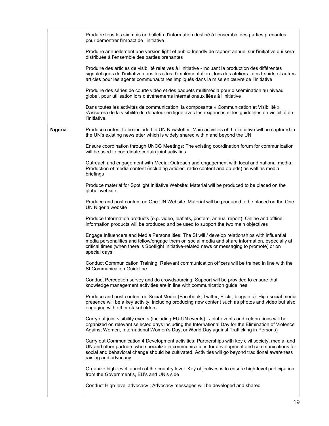|         | Produire tous les six mois un bulletin d'information destiné à l'ensemble des parties prenantes<br>pour démontrer l'impact de l'initiative                                                                                                                                                                                       |
|---------|----------------------------------------------------------------------------------------------------------------------------------------------------------------------------------------------------------------------------------------------------------------------------------------------------------------------------------|
|         | Produire annuellement une version light et public-friendly de rapport annuel sur l'initiative qui sera<br>distribuée à l'ensemble des parties prenantes                                                                                                                                                                          |
|         | Produire des articles de visibilité relatives à l'initiative - incluant la production des différentes<br>signalétiques de l'initiative dans les sites d'implémentation ; lors des ateliers ; des t-shirts et autres<br>articles pour les agents communautaires impliqués dans la mise en œuvre de l'initiative                   |
|         | Produire des séries de courte vidéo et des paquets multimédia pour dissémination au niveau<br>global, pour utilisation lors d'événements internationaux liées à l'initiative                                                                                                                                                     |
|         | Dans toutes les activités de communication, la composante « Communication et Visibilité »<br>s'assurera de la visibilité du donateur en ligne avec les exigences et les guidelines de visibilité de<br>l'initiative.                                                                                                             |
| Nigeria | Produce content to be included in UN Newsletter: Main activities of the initiative will be captured in<br>the UN's existing newsletter which is widely shared within and beyond the UN                                                                                                                                           |
|         | Ensure coordination through UNCG Meetings: The existing coordination forum for communication<br>will be used to coordinate certain joint activities                                                                                                                                                                              |
|         | Outreach and engagement with Media: Outreach and engagement with local and national media.<br>Production of media content (including articles, radio content and op-eds) as well as media<br>briefings                                                                                                                           |
|         | Produce material for Spotlight Initiative Website: Material will be produced to be placed on the<br>global website                                                                                                                                                                                                               |
|         | Produce and post content on One UN Website: Material will be produced to be placed on the One<br>UN Nigeria website                                                                                                                                                                                                              |
|         | Produce Information products (e.g. video, leaflets, posters, annual report): Online and offline<br>information products will be produced and be used to support the two main objectives                                                                                                                                          |
|         | Engage Influencers and Media Personalities: The SI will / develop relationships with influential<br>media personalities and follow/engage them on social media and share information, especially at<br>critical times (when there is Spotlight Initiative-related news or messaging to promote) or on<br>special days            |
|         | Conduct Communication Training: Relevant communication officers will be trained in line with the<br><b>SI Communication Guideline</b>                                                                                                                                                                                            |
|         | Conduct Perception survey and do crowdsourcing: Support will be provided to ensure that<br>knowledge management activities are in line with communication guidelines                                                                                                                                                             |
|         | Produce and post content on Social Media (Facebook, Twitter, Flickr, blogs etc): High social media<br>presence will be a key activity; including producing new content such as photos and video but also<br>engaging with other stakeholders                                                                                     |
|         | Carry out joint visibility events (including EU-UN events) : Joint events and celebrations will be<br>organized on relevant selected days including the International Day for the Elimination of Violence<br>Against Women, International Women's Day, or World Day against Trafficking in Persons)                              |
|         | Carry out Communication 4 Development activities: Partnerships with key civil society, media, and<br>UN and other partners who specialize in communications for development and communications for<br>social and behavioral change should be cultivated. Activities will go beyond traditional awareness<br>raising and advocacy |
|         | Organize high-level launch at the country level: Key objectives is to ensure high-level participation<br>from the Government's, EU's and UN's side                                                                                                                                                                               |
|         | Conduct High-level advocacy : Advocacy messages will be developed and shared                                                                                                                                                                                                                                                     |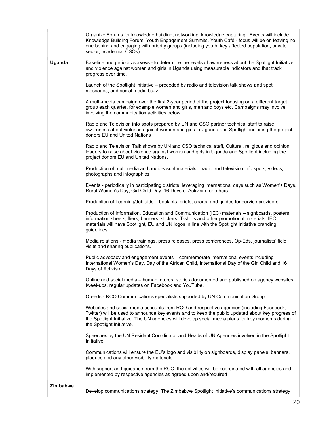|                 | Organize Forums for knowledge building, networking, knowledge capturing : Events will include<br>Knowledge Building Forum, Youth Engagement Summits, Youth Café - focus will be on leaving no<br>one behind and engaging with priority groups (including youth, key affected population, private<br>sector, academia, CSOs)    |
|-----------------|--------------------------------------------------------------------------------------------------------------------------------------------------------------------------------------------------------------------------------------------------------------------------------------------------------------------------------|
| Uganda          | Baseline and periodic surveys - to determine the levels of awareness about the Spotlight Initiative<br>and violence against women and girls in Uganda using measurable indicators and that track<br>progress over time.                                                                                                        |
|                 | Launch of the Spotlight initiative – preceded by radio and television talk shows and spot<br>messages, and social media buzz.                                                                                                                                                                                                  |
|                 | A multi-media campaign over the first 2-year period of the project focusing on a different target<br>group each quarter, for example women and girls, men and boys etc. Campaigns may involve<br>involving the communication activities below:                                                                                 |
|                 | Radio and Television info spots prepared by UN and CSO partner technical staff to raise<br>awareness about violence against women and girls in Uganda and Spotlight including the project<br>donors EU and United Nations                                                                                                      |
|                 | Radio and Television Talk shows by UN and CSO technical staff, Cultural, religious and opinion<br>leaders to raise about violence against women and girls in Uganda and Spotlight including the<br>project donors EU and United Nations.                                                                                       |
|                 | Production of multimedia and audio-visual materials - radio and television info spots, videos,<br>photographs and infographics.                                                                                                                                                                                                |
|                 | Events - periodically in participating districts, leveraging international days such as Women's Days,<br>Rural Women's Day, Girl Child Day, 16 Days of Activism, or others.                                                                                                                                                    |
|                 | Production of Learning/Job aids - booklets, briefs, charts, and guides for service providers                                                                                                                                                                                                                                   |
|                 | Production of Information, Education and Communication (IEC) materials - signboards, posters,<br>information sheets, fliers, banners, stickers, T-shirts and other promotional materials. IEC<br>materials will have Spotlight, EU and UN logos in line with the Spotlight initiative branding<br>guidelines.                  |
|                 | Media relations - media trainings, press releases, press conferences, Op-Eds, journalists' field<br>visits and sharing publications.                                                                                                                                                                                           |
|                 | Public advocacy and engagement events - commemorate international events including<br>International Women's Day, Day of the African Child, International Day of the Girl Child and 16<br>Days of Activism.                                                                                                                     |
|                 | Online and social media – human interest stories documented and published on agency websites,<br>tweet-ups, regular updates on Facebook and YouTube.                                                                                                                                                                           |
|                 | Op-eds - RCO Communications specialists supported by UN Communication Group                                                                                                                                                                                                                                                    |
|                 | Websites and social media accounts from RCO and respective agencies (including Facebook,<br>Twitter) will be used to announce key events and to keep the public updated about key progress of<br>the Spotlight Initiative. The UN agencies will develop social media plans for key moments during<br>the Spotlight Initiative. |
|                 | Speeches by the UN Resident Coordinator and Heads of UN Agencies involved in the Spotlight<br>Initiative.                                                                                                                                                                                                                      |
|                 | Communications will ensure the EU's logo and visibility on signboards, display panels, banners,<br>plaques and any other visibility materials.                                                                                                                                                                                 |
|                 | With support and guidance from the RCO, the activities will be coordinated with all agencies and<br>implemented by respective agencies as agreed upon and/required                                                                                                                                                             |
| <b>Zimbabwe</b> | Develop communications strategy: The Zimbabwe Spotlight Initiative's communications strategy                                                                                                                                                                                                                                   |